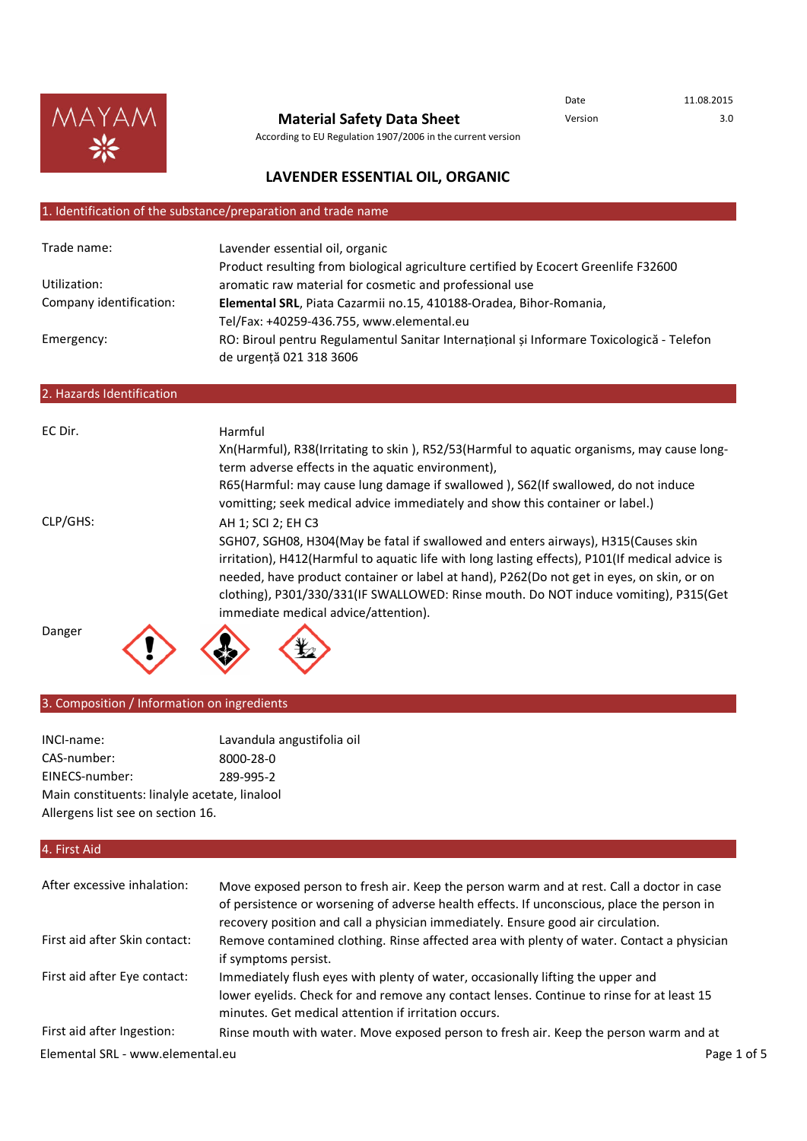

**Material Safety Data Sheet**

Date 11.08.2015 Version 3.0

# **LAVENDER ESSENTIAL OIL, ORGANIC**

According to EU Regulation 1907/2006 in the current version

## 1. Identification of the substance/preparation and trade name

| Trade name:               | Lavender essential oil, organic                                                                                     |
|---------------------------|---------------------------------------------------------------------------------------------------------------------|
|                           | Product resulting from biological agriculture certified by Ecocert Greenlife F32600                                 |
| Utilization:              | aromatic raw material for cosmetic and professional use                                                             |
| Company identification:   | Elemental SRL, Piata Cazarmii no.15, 410188-Oradea, Bihor-Romania,                                                  |
|                           | Tel/Fax: +40259-436.755, www.elemental.eu                                                                           |
| Emergency:                | RO: Biroul pentru Regulamentul Sanitar Internațional și Informare Toxicologică - Telefon<br>de urgență 021 318 3606 |
| 2. Hazards Identification |                                                                                                                     |
|                           |                                                                                                                     |
| EC Dir.                   | Harmful                                                                                                             |
|                           | Xn(Harmful), R38(Irritating to skin), R52/53(Harmful to aquatic organisms, may cause long-                          |
|                           | term adverse effects in the aquatic environment),                                                                   |
|                           | R65(Harmful: may cause lung damage if swallowed), S62(If swallowed, do not induce                                   |
|                           | vomitting; seek medical advice immediately and show this container or label.)                                       |
| CLP/GHS:                  | AH 1; SCI 2; EH C3                                                                                                  |
|                           | SGH07, SGH08, H304(May be fatal if swallowed and enters airways), H315(Causes skin                                  |
|                           | irritation), H412(Harmful to aquatic life with long lasting effects), P101(If medical advice is                     |
|                           | needed, have product container or label at hand), P262(Do not get in eyes, on skin, or on                           |
|                           | clothing), P301/330/331(IF SWALLOWED: Rinse mouth. Do NOT induce vomiting), P315(Get                                |
|                           | immediate medical advice/attention).                                                                                |
|                           |                                                                                                                     |
| Danger                    |                                                                                                                     |
|                           |                                                                                                                     |

## 3. Composition / Information on ingredients

| INCI-name:                                    | Lavandula angustifolia |  |
|-----------------------------------------------|------------------------|--|
| CAS-number:                                   | 8000-28-0              |  |
| EINECS-number:                                | 289-995-2              |  |
| Main constituents: linalyle acetate, linalool |                        |  |
| Allergens list see on section 16.             |                        |  |

## 4. First Aid

| After excessive inhalation:      | Move exposed person to fresh air. Keep the person warm and at rest. Call a doctor in case<br>of persistence or worsening of adverse health effects. If unconscious, place the person in<br>recovery position and call a physician immediately. Ensure good air circulation. |             |
|----------------------------------|-----------------------------------------------------------------------------------------------------------------------------------------------------------------------------------------------------------------------------------------------------------------------------|-------------|
| First aid after Skin contact:    | Remove contamined clothing. Rinse affected area with plenty of water. Contact a physician<br>if symptoms persist.                                                                                                                                                           |             |
| First aid after Eye contact:     | Immediately flush eyes with plenty of water, occasionally lifting the upper and<br>lower eyelids. Check for and remove any contact lenses. Continue to rinse for at least 15<br>minutes. Get medical attention if irritation occurs.                                        |             |
| First aid after Ingestion:       | Rinse mouth with water. Move exposed person to fresh air. Keep the person warm and at                                                                                                                                                                                       |             |
| Elemental SRL - www.elemental.eu |                                                                                                                                                                                                                                                                             | Page 1 of 5 |

oil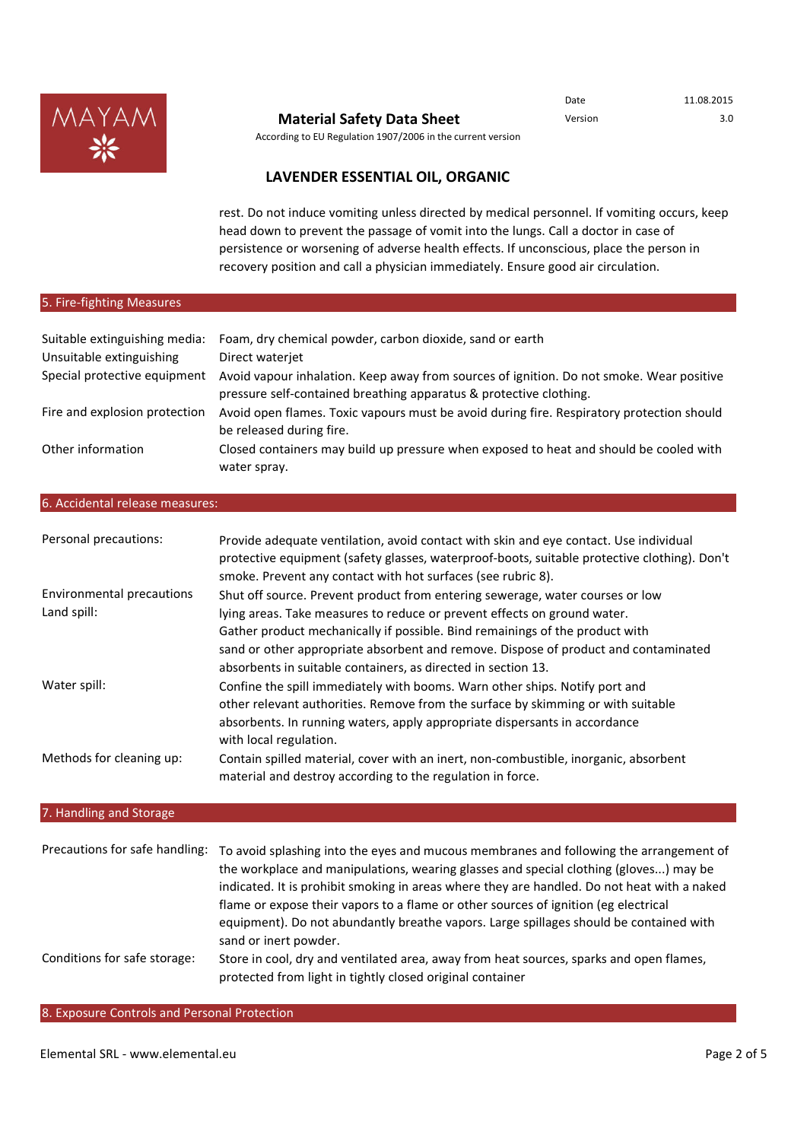

Date 11.08.2015

According to EU Regulation 1907/2006 in the current version

# **LAVENDER ESSENTIAL OIL, ORGANIC**

rest. Do not induce vomiting unless directed by medical personnel. If vomiting occurs, keep head down to prevent the passage of vomit into the lungs. Call a doctor in case of persistence or worsening of adverse health effects. If unconscious, place the person in recovery position and call a physician immediately. Ensure good air circulation.

## 5. Fire-fighting Measures

| Suitable extinguishing media:<br>Unsuitable extinguishing<br>Special protective equipment | Foam, dry chemical powder, carbon dioxide, sand or earth<br>Direct waterjet<br>Avoid vapour inhalation. Keep away from sources of ignition. Do not smoke. Wear positive<br>pressure self-contained breathing apparatus & protective clothing. |
|-------------------------------------------------------------------------------------------|-----------------------------------------------------------------------------------------------------------------------------------------------------------------------------------------------------------------------------------------------|
| Fire and explosion protection                                                             | Avoid open flames. Toxic vapours must be avoid during fire. Respiratory protection should<br>be released during fire.                                                                                                                         |
| Other information                                                                         | Closed containers may build up pressure when exposed to heat and should be cooled with<br>water spray.                                                                                                                                        |

#### 6. Accidental release measures:

| Personal precautions:     | Provide adequate ventilation, avoid contact with skin and eye contact. Use individual<br>protective equipment (safety glasses, waterproof-boots, suitable protective clothing). Don't<br>smoke. Prevent any contact with hot surfaces (see rubric 8). |
|---------------------------|-------------------------------------------------------------------------------------------------------------------------------------------------------------------------------------------------------------------------------------------------------|
| Environmental precautions | Shut off source. Prevent product from entering sewerage, water courses or low                                                                                                                                                                         |
| Land spill:               | lying areas. Take measures to reduce or prevent effects on ground water.                                                                                                                                                                              |
|                           | Gather product mechanically if possible. Bind remainings of the product with                                                                                                                                                                          |
|                           | sand or other appropriate absorbent and remove. Dispose of product and contaminated                                                                                                                                                                   |
|                           | absorbents in suitable containers, as directed in section 13.                                                                                                                                                                                         |
| Water spill:              | Confine the spill immediately with booms. Warn other ships. Notify port and                                                                                                                                                                           |
|                           | other relevant authorities. Remove from the surface by skimming or with suitable                                                                                                                                                                      |
|                           | absorbents. In running waters, apply appropriate dispersants in accordance                                                                                                                                                                            |
|                           | with local regulation.                                                                                                                                                                                                                                |
| Methods for cleaning up:  | Contain spilled material, cover with an inert, non-combustible, inorganic, absorbent<br>material and destroy according to the regulation in force.                                                                                                    |

## 7. Handling and Storage

| Precautions for safe handling: | To avoid splashing into the eyes and mucous membranes and following the arrangement of<br>the workplace and manipulations, wearing glasses and special clothing (gloves) may be<br>indicated. It is prohibit smoking in areas where they are handled. Do not heat with a naked<br>flame or expose their vapors to a flame or other sources of ignition (eg electrical<br>equipment). Do not abundantly breathe vapors. Large spillages should be contained with<br>sand or inert powder. |
|--------------------------------|------------------------------------------------------------------------------------------------------------------------------------------------------------------------------------------------------------------------------------------------------------------------------------------------------------------------------------------------------------------------------------------------------------------------------------------------------------------------------------------|
| Conditions for safe storage:   | Store in cool, dry and ventilated area, away from heat sources, sparks and open flames,<br>protected from light in tightly closed original container                                                                                                                                                                                                                                                                                                                                     |

#### 8. Exposure Controls and Personal Protection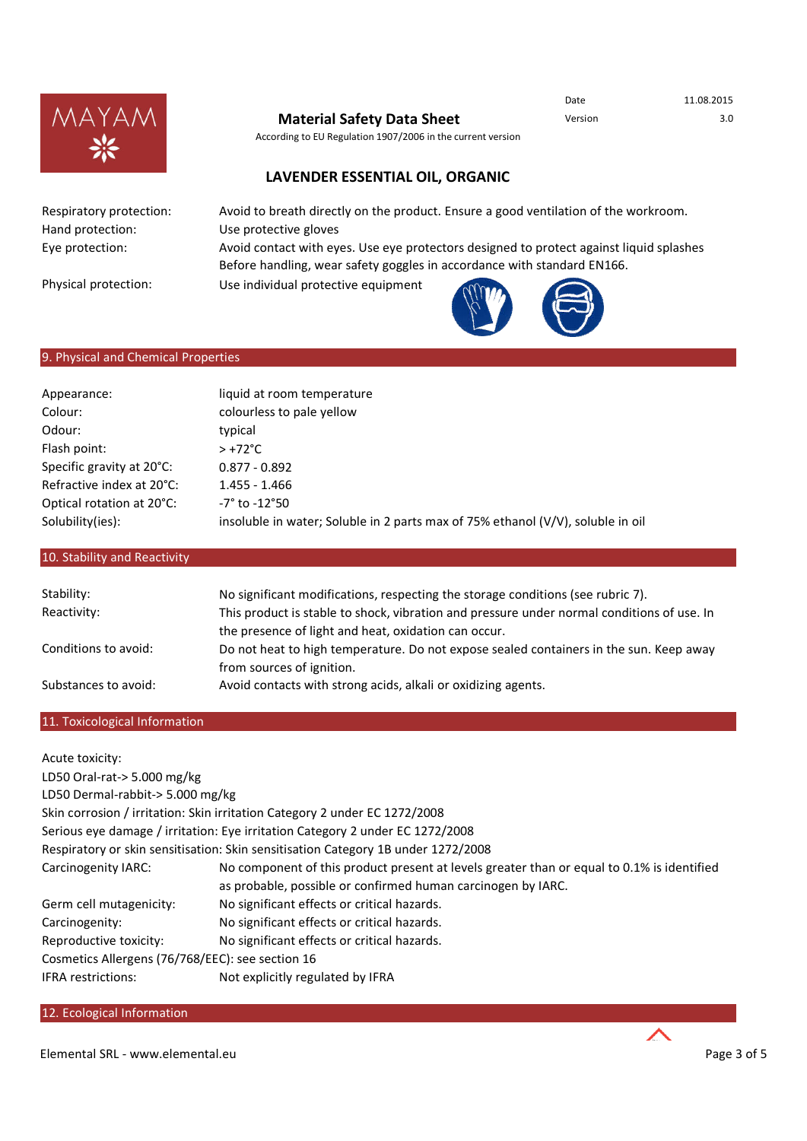

According to EU Regulation 1907/2006 in the current version

Date 11.08.2015

# **LAVENDER ESSENTIAL OIL, ORGANIC**

Respiratory protection: Hand protection: Eye protection:

Physical protection:

Avoid to breath directly on the product. Ensure a good ventilation of the workroom. Use protective gloves

Avoid contact with eyes. Use eye protectors designed to protect against liquid splashes Before handling, wear safety goggles in accordance with standard EN166.

Use individual protective equipment



# 9. Physical and Chemical Properties

| Appearance:               | liquid at room temperature                                                         |
|---------------------------|------------------------------------------------------------------------------------|
| Colour:                   | colourless to pale yellow                                                          |
| Odour:                    | typical                                                                            |
| Flash point:              | $> +72^{\circ}$ C                                                                  |
| Specific gravity at 20°C: | $0.877 - 0.892$                                                                    |
| Refractive index at 20°C: | $1.455 - 1.466$                                                                    |
| Optical rotation at 20°C: | -7° to -12°50                                                                      |
| Solubility(ies):          | insoluble in water; Soluble in 2 parts max of 75% ethanol $(V/V)$ , soluble in oil |

## 10. Stability and Reactivity

| Stability:           | No significant modifications, respecting the storage conditions (see rubric 7).            |
|----------------------|--------------------------------------------------------------------------------------------|
| Reactivity:          | This product is stable to shock, vibration and pressure under normal conditions of use. In |
|                      | the presence of light and heat, oxidation can occur.                                       |
| Conditions to avoid: | Do not heat to high temperature. Do not expose sealed containers in the sun. Keep away     |
|                      | from sources of ignition.                                                                  |
| Substances to avoid: | Avoid contacts with strong acids, alkali or oxidizing agents.                              |

## 11. Toxicological Information

| Acute toxicity:                                  |                                                                                            |  |
|--------------------------------------------------|--------------------------------------------------------------------------------------------|--|
| LD50 Oral-rat-> 5.000 mg/kg                      |                                                                                            |  |
| LD50 Dermal-rabbit-> 5.000 mg/kg                 |                                                                                            |  |
|                                                  | Skin corrosion / irritation: Skin irritation Category 2 under EC 1272/2008                 |  |
|                                                  | Serious eye damage / irritation: Eye irritation Category 2 under EC 1272/2008              |  |
|                                                  | Respiratory or skin sensitisation: Skin sensitisation Category 1B under 1272/2008          |  |
| Carcinogenity IARC:                              | No component of this product present at levels greater than or equal to 0.1% is identified |  |
|                                                  | as probable, possible or confirmed human carcinogen by IARC.                               |  |
| Germ cell mutagenicity:                          | No significant effects or critical hazards.                                                |  |
| Carcinogenity:                                   | No significant effects or critical hazards.                                                |  |
| Reproductive toxicity:                           | No significant effects or critical hazards.                                                |  |
| Cosmetics Allergens (76/768/EEC): see section 16 |                                                                                            |  |
| <b>IFRA</b> restrictions:                        | Not explicitly regulated by IFRA                                                           |  |

#### 12. Ecological Information

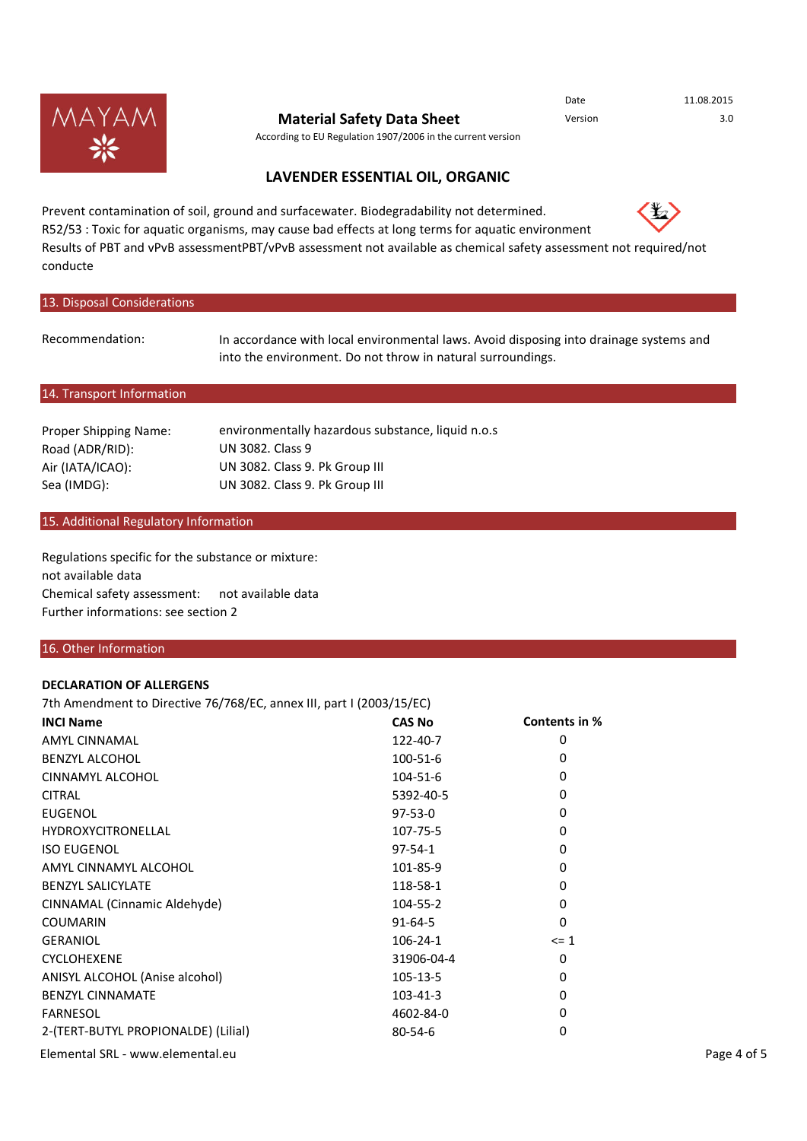

According to EU Regulation 1907/2006 in the current version

# **LAVENDER ESSENTIAL OIL, ORGANIC**

Prevent contamination of soil, ground and surfacewater. Biodegradability not determined. R52/53 : Toxic for aquatic organisms, may cause bad effects at long terms for aquatic environment Results of PBT and vPvB assessmentPBT/vPvB assessment not available as chemical safety assessment not required/not conducte

#### 13. Disposal Considerations

Recommendation:

In accordance with local environmental laws. Avoid disposing into drainage systems and into the environment. Do not throw in natural surroundings.

#### 14. Transport Information

| environmentally hazardous substance, liquid n.o.s |
|---------------------------------------------------|
| UN 3082. Class 9                                  |
| UN 3082. Class 9. Pk Group III                    |
| UN 3082. Class 9. Pk Group III                    |
|                                                   |

#### 15. Additional Regulatory Information

not available data Chemical safety assessment: not available data Further informations: see section 2 Regulations specific for the substance or mixture:

#### 16. Other Information

#### **DECLARATION OF ALLERGENS**

7th Amendment to Directive 76/768/EC, annex III, part I (2003/15/EC)

| <b>INCI Name</b>                    | <b>CAS No</b>  | Contents in % |             |
|-------------------------------------|----------------|---------------|-------------|
| <b>AMYL CINNAMAL</b>                | 122-40-7       | 0             |             |
| <b>BENZYL ALCOHOL</b>               | 100-51-6       | 0             |             |
| CINNAMYL ALCOHOL                    | 104-51-6       | 0             |             |
| <b>CITRAL</b>                       | 5392-40-5      | 0             |             |
| <b>EUGENOL</b>                      | $97-53-0$      | 0             |             |
| <b>HYDROXYCITRONELLAL</b>           | 107-75-5       | 0             |             |
| <b>ISO EUGENOL</b>                  | $97 - 54 - 1$  | 0             |             |
| AMYL CINNAMYL ALCOHOL               | 101-85-9       | 0             |             |
| <b>BENZYL SALICYLATE</b>            | 118-58-1       | 0             |             |
| CINNAMAL (Cinnamic Aldehyde)        | 104-55-2       | 0             |             |
| <b>COUMARIN</b>                     | $91 - 64 - 5$  | $\Omega$      |             |
| <b>GERANIOL</b>                     | $106 - 24 - 1$ | $\leq 1$      |             |
| <b>CYCLOHEXENE</b>                  | 31906-04-4     | 0             |             |
| ANISYL ALCOHOL (Anise alcohol)      | 105-13-5       | 0             |             |
| <b>BENZYL CINNAMATE</b>             | $103 - 41 - 3$ | 0             |             |
| <b>FARNESOL</b>                     | 4602-84-0      | 0             |             |
| 2-(TERT-BUTYL PROPIONALDE) (Lilial) | $80 - 54 - 6$  | 0             |             |
| Elemental SRL - www.elemental.eu    |                |               | Page 4 of 5 |



Date 11.08.2015